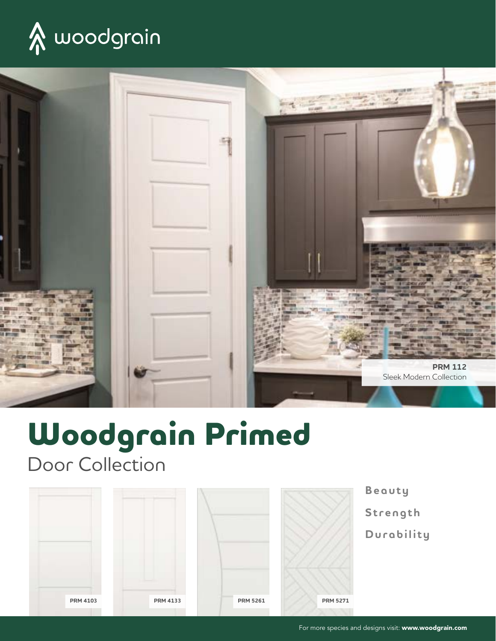



# **Woodgrain Primed**

Door Collection



**Beauty Strength Durability**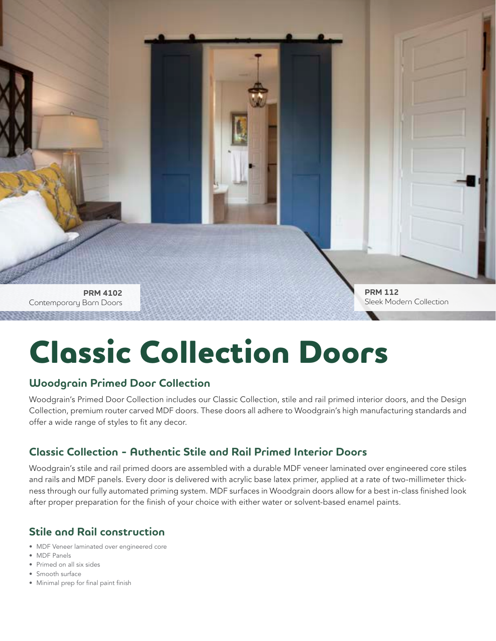**PRM 4102** Contemporary Barn Doors **PRM 112** Sleek Modern Collection

# **Classic Collection Doors**

#### **Woodgrain Primed Door Collection**

Woodgrain's Primed Door Collection includes our Classic Collection, stile and rail primed interior doors, and the Design Collection, premium router carved MDF doors. These doors all adhere to Woodgrain's high manufacturing standards and offer a wide range of styles to fit any decor.

### **Classic Collection - Authentic Stile and Rail Primed Interior Doors**

Woodgrain's stile and rail primed doors are assembled with a durable MDF veneer laminated over engineered core stiles and rails and MDF panels. Every door is delivered with acrylic base latex primer, applied at a rate of two-millimeter thickness through our fully automated priming system. MDF surfaces in Woodgrain doors allow for a best in-class finished look after proper preparation for the finish of your choice with either water or solvent-based enamel paints.

### **Stile and Rail construction**

- MDF Veneer laminated over engineered core
- MDF Panels
- Primed on all six sides
- Smooth surface
- Minimal prep for final paint finish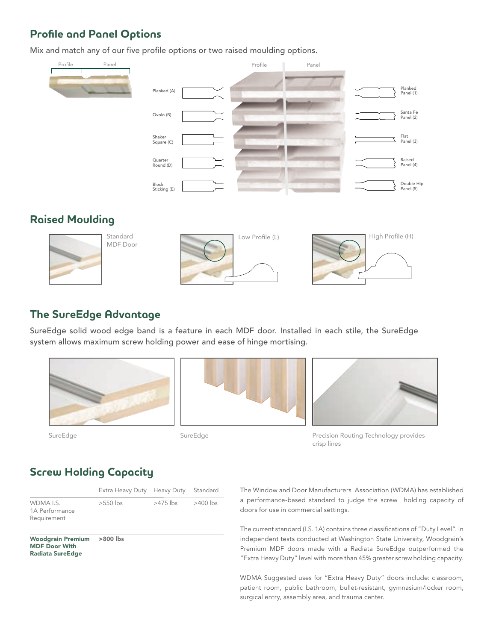### **Profile and Panel Options**

Mix and match any of our five profile options or two raised moulding options.



### **Raised Moulding**



MDF Door





#### **The SureEdge Advantage**

SureEdge solid wood edge band is a feature in each MDF door. Installed in each stile, the SureEdge system allows maximum screw holding power and ease of hinge mortising.









Precision Routing Technology provides crisp lines

### **Screw Holding Capacity**

|                                                                             | Extra Heavy Duty Heavy Duty |          | Standard   |
|-----------------------------------------------------------------------------|-----------------------------|----------|------------|
| WDMA I.S.<br>1A Performance<br>Requirement                                  | $>550$ lbs                  | >475 lbs | $>400$ lbs |
| <b>Woodgrain Premium</b><br><b>MDF Door With</b><br><b>Radiata SureEdge</b> | >800 lbs                    |          |            |

The Window and Door Manufacturers Association (WDMA) has established a performance-based standard to judge the screw holding capacity of doors for use in commercial settings.

The current standard (I.S. 1A) contains three classifications of "Duty Level". In independent tests conducted at Washington State University, Woodgrain's Premium MDF doors made with a Radiata SureEdge outperformed the "Extra Heavy Duty" level with more than 45% greater screw holding capacity.

WDMA Suggested uses for "Extra Heavy Duty" doors include: classroom, patient room, public bathroom, bullet-resistant, gymnasium/locker room, surgical entry, assembly area, and trauma center.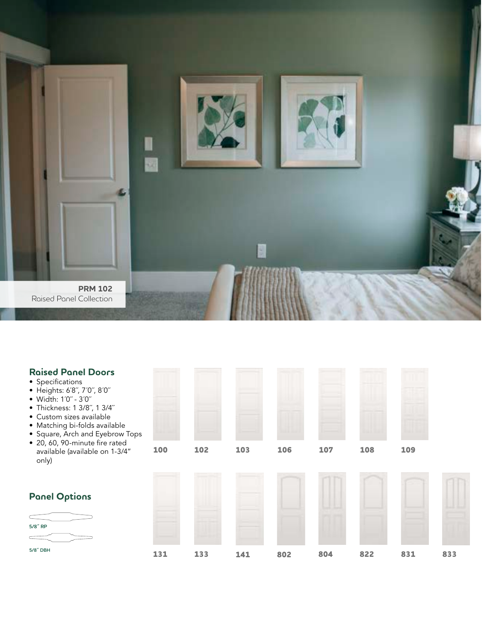

| <b>Raised Panel Doors</b><br>• Specifications<br>• Heights: 6'8", 7'0", 8'0"<br>• Width: 1'0" - 3'0"<br>• Thickness: 1 3/8", 1 3/4"<br>• Custom sizes available<br>· Matching bi-folds available<br>• Square, Arch and Eyebrow Tops |     |     |     |     |     |     |     |     |
|-------------------------------------------------------------------------------------------------------------------------------------------------------------------------------------------------------------------------------------|-----|-----|-----|-----|-----|-----|-----|-----|
| · 20, 60, 90-minute fire rated<br>available (available on 1-3/4"<br>only)                                                                                                                                                           | 100 | 102 | 103 | 106 | 107 | 108 | 109 |     |
|                                                                                                                                                                                                                                     |     |     |     |     |     |     |     |     |
| <b>Panel Options</b>                                                                                                                                                                                                                |     |     |     |     |     |     |     |     |
| 5/8" RP                                                                                                                                                                                                                             |     |     |     |     |     |     |     |     |
|                                                                                                                                                                                                                                     |     |     |     |     |     |     |     |     |
| 5/8" DBH                                                                                                                                                                                                                            | 131 | 133 | 141 | 802 | 804 | 822 | 831 | 833 |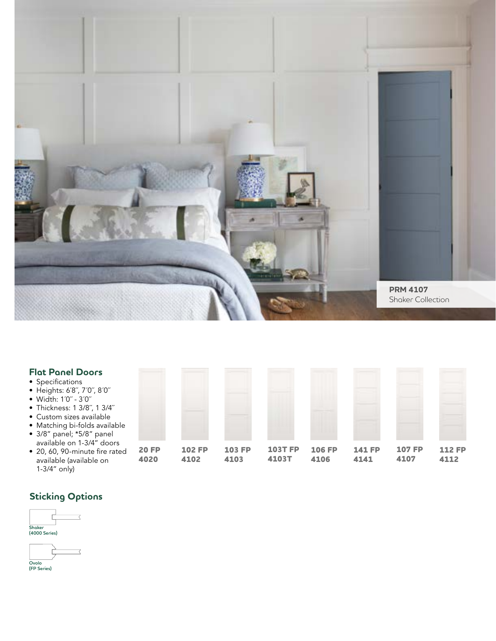

| <b>Flat Panel Doors</b><br>• Specifications<br>• Heights: 6'8", 7'0", 8'0"<br>• Width: 1'0" - 3'0"<br>• Thickness: 1 3/8", 1 3/4"<br>• Custom sizes available<br>• Matching bi-folds available<br>• 3/8" panel; *5/8" panel |                      |                       |                       |                         |                       |                       |                       |                       |
|-----------------------------------------------------------------------------------------------------------------------------------------------------------------------------------------------------------------------------|----------------------|-----------------------|-----------------------|-------------------------|-----------------------|-----------------------|-----------------------|-----------------------|
| available on 1-3/4" doors<br>• 20, 60, 90-minute fire rated<br>available (available on<br>$1-3/4''$ only)                                                                                                                   | <b>20 FP</b><br>4020 | <b>102 FP</b><br>4102 | <b>103 FP</b><br>4103 | <b>103T FP</b><br>4103T | <b>106 FP</b><br>4106 | <b>141 FP</b><br>4141 | <b>107 FP</b><br>4107 | <b>112 FP</b><br>4112 |

## **Sticking Options**



**Ovolo (FP Series)**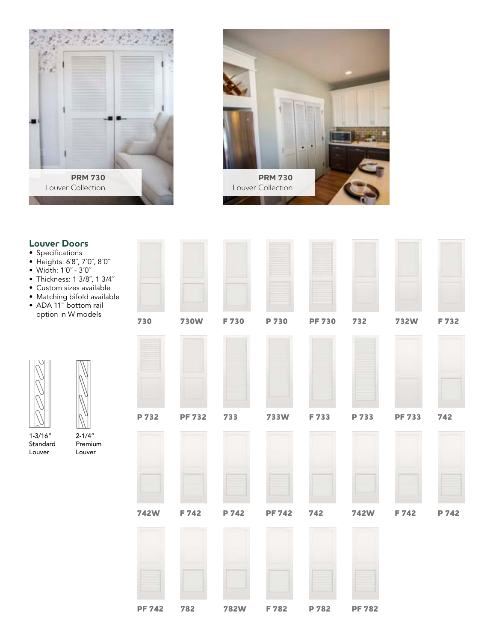



**EST** 

 $=$ 

**The State** 

## **Louver Doors**

- Specifications
- Heights: 6´8˝, 7´0˝, 8´0˝
- Width: 1´0˝ 3´0˝
- Thickness: 1 3/8˝, 1 3/4˝
- Custom sizes available
- Matching bifold available
- ADA 11" bottom rail option in W models



Louver

1-3/16" Standard





| 730           | <b>730W</b> | F 730       | P 730         | <b>PF 730</b> | 732           | <b>732W</b>   | F 732 |
|---------------|-------------|-------------|---------------|---------------|---------------|---------------|-------|
|               |             |             |               |               |               |               |       |
| P 732         | PF 732 733  |             | <b>733W</b>   | F 733         | P 733         | <b>PF 733</b> | 742   |
| <b>742W</b>   | F 742       | P 742       | <b>PF 742</b> | 742           | <b>742W</b>   | F 742         | P 742 |
| <b>PF 742</b> | 782         | <b>782W</b> | F 782         | P 782         | <b>PF 782</b> |               |       |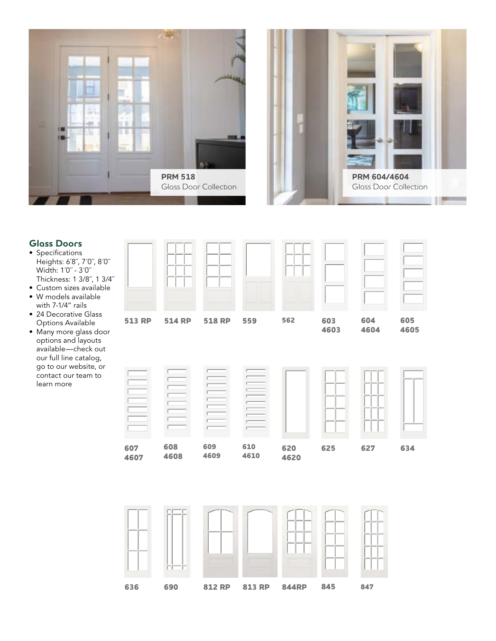



#### **Glass Doors**

- Specifications Heights: 6´8˝, 7´0˝, 8´0˝ Width: 1´0˝ - 3´0˝ Thickness: 1 3/8˝, 1 3/4˝
- Custom sizes available
- W models available with 7-1/4" rails
- 24 Decorative Glass Options Available
- Many more glass door options and layouts available—check out our full line catalog, go to our website, or contact our team to learn more



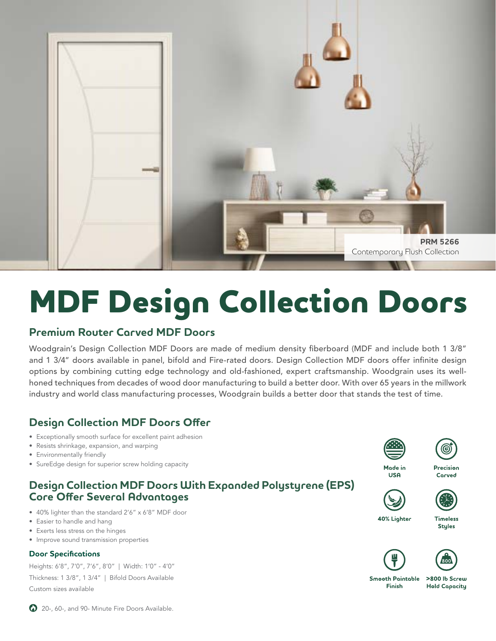

# **MDF Design Collection Doors**

#### **Premium Router Carved MDF Doors**

Woodgrain's Design Collection MDF Doors are made of medium density fiberboard (MDF and include both 1 3/8" and 1 3/4" doors available in panel, bifold and Fire-rated doors. Design Collection MDF doors offer infinite design options by combining cutting edge technology and old-fashioned, expert craftsmanship. Woodgrain uses its wellhoned techniques from decades of wood door manufacturing to build a better door. With over 65 years in the millwork industry and world class manufacturing processes, Woodgrain builds a better door that stands the test of time.

## **Design Collection MDF Doors Offer**

- Exceptionally smooth surface for excellent paint adhesion
- Resists shrinkage, expansion, and warping
- Environmentally friendly
- SureEdge design for superior screw holding capacity

#### **Design Collection MDF Doors With Expanded Polystyrene (EPS) Core Offer Several Advantages**

- 40% lighter than the standard 2'6" x 6'8" MDF door
- Easier to handle and hang
- Exerts less stress on the hinges
- Improve sound transmission properties

#### **Door Specifications**

Heights: 6'8", 7'0", 7'6", 8'0" | Width: 1'0" - 4'0" Thickness: 1 3/8", 1 3/4" | Bifold Doors Available Custom sizes available



**USA** 



Precision Corved



40% Lighter







**Smooth Paintable** Finish

>800 lb Screw **Hold Capacity** 

20-, 60-, and 90- Minute Fire Doors Available.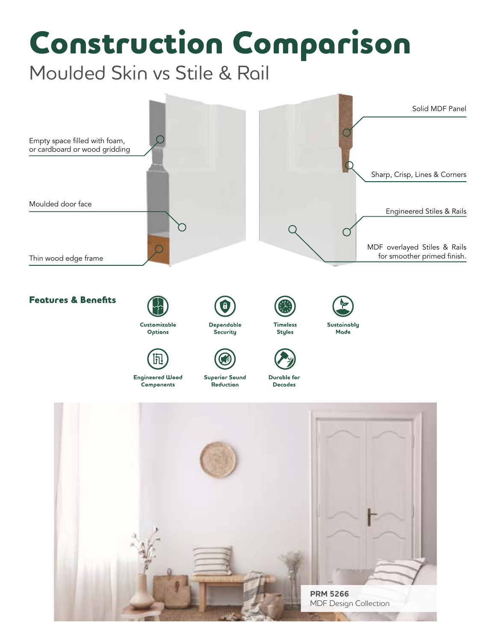# **Construction Comparison**

Moulded Skin vs Stile & Rail

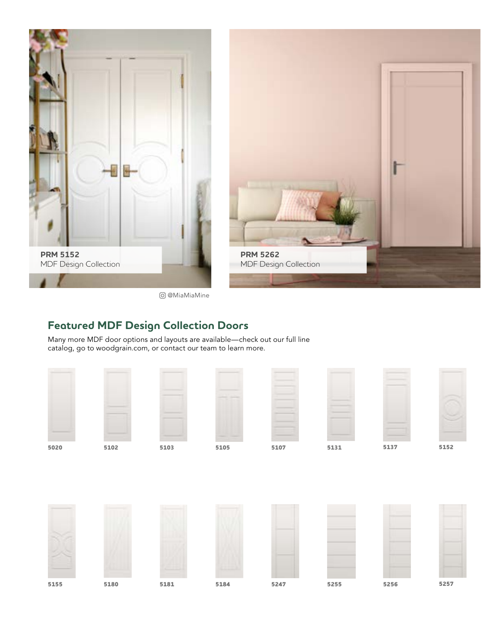

## **Featured MDF Design Collection Doors**

Many more MDF door options and layouts are available—check out our full line catalog, go to woodgrain.com, or contact our team to learn more.

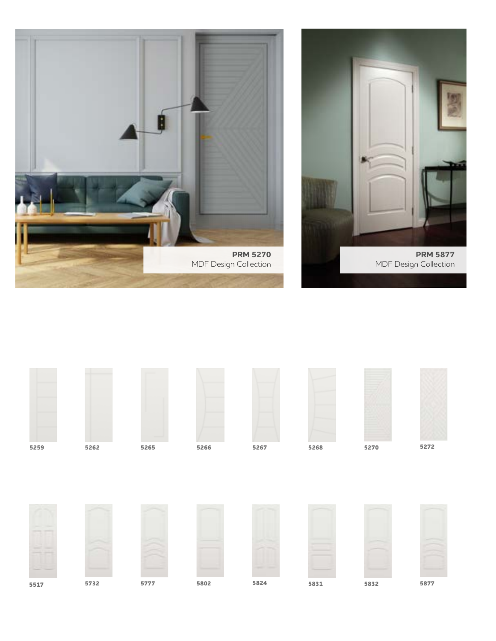





**5517 5732 5777 5802 5831 5832 5877**

**5824**